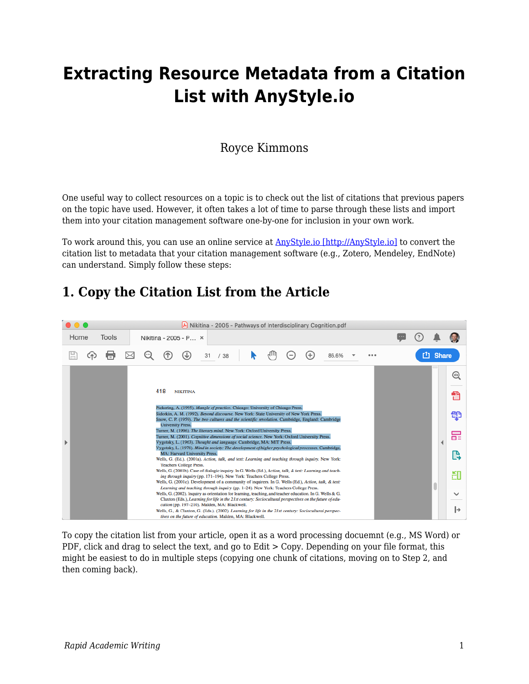# **Extracting Resource Metadata from a Citation List with AnyStyle.io**

#### Royce Kimmons

One useful way to collect resources on a topic is to check out the list of citations that previous papers on the topic have used. However, it often takes a lot of time to parse through these lists and import them into your citation management software one-by-one for inclusion in your own work.

To work around this, you can use an online service at  $\frac{AnyStyle.io}{http://AnyStyle.io}{\}$  to convert the citation list to metadata that your citation management software (e.g., Zotero, Mendeley, EndNote) can understand. Simply follow these steps:

#### **1. Copy the Citation List from the Article**



To copy the citation list from your article, open it as a word processing docuemnt (e.g., MS Word) or PDF, click and drag to select the text, and go to Edit  $>$  Copy. Depending on your file format, this might be easiest to do in multiple steps (copying one chunk of citations, moving on to Step 2, and then coming back).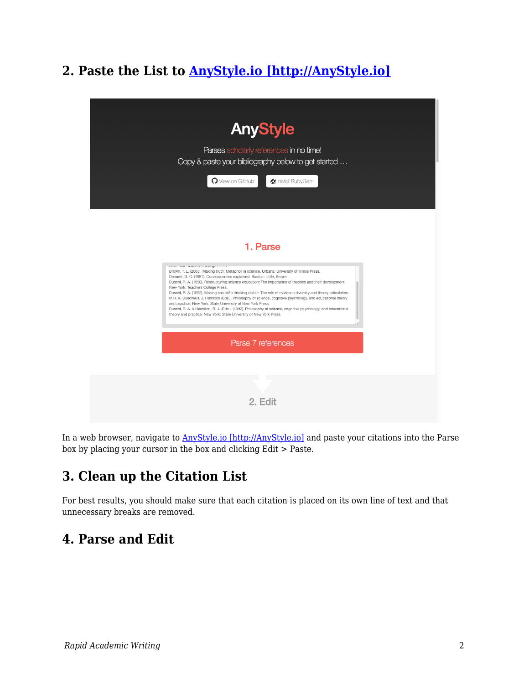# **2. Paste the List to [AnyStyle.io \[http://AnyStyle.io\]](http://AnyStyle.io)**



In a web browser, navigate to **AnyStyle.io** [http://AnyStyle.io] and paste your citations into the Parse box by placing your cursor in the box and clicking Edit > Paste.

# **3. Clean up the Citation List**

For best results, you should make sure that each citation is placed on its own line of text and that unnecessary breaks are removed.

## **4. Parse and Edit**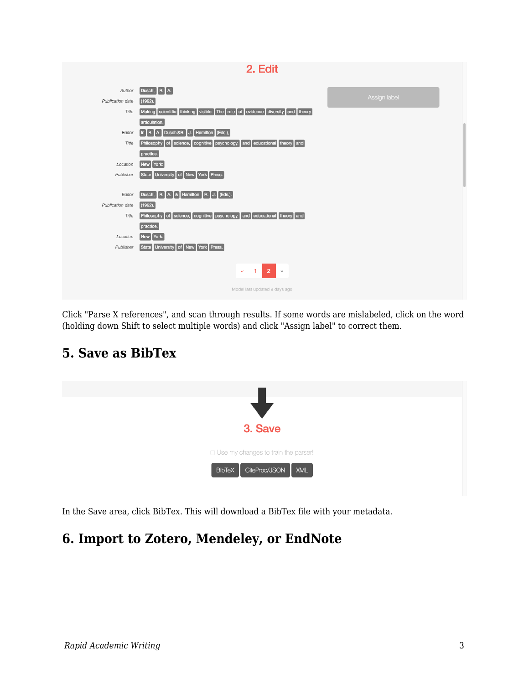| 2. Edit                       |                                                                                   |              |
|-------------------------------|-----------------------------------------------------------------------------------|--------------|
|                               |                                                                                   |              |
| Author                        | $\boxed{\textsf{Duschl}, \boxed{\textsf{R}.}}$ A.                                 |              |
| Publication date              | $(1992)$ .                                                                        | Assign label |
| Title                         | Making scientific thinking visible: The role of evidence diversity and theory     |              |
|                               | articulation.                                                                     |              |
| Editor                        | Hamilton (Eds.),<br>A. Duschl&R. J.<br>R.<br>$\ln$                                |              |
| Title                         | of science, cognitive psychology, and educational theory and<br>Philosophy        |              |
|                               | practice.                                                                         |              |
| Location                      | New York:                                                                         |              |
| Publisher                     | University of New York Press.<br><b>State</b>                                     |              |
|                               |                                                                                   |              |
| Editor                        | Duschi, R. A. & Hamilton, R. J. (Eds.).                                           |              |
| Publication date              | (1992).                                                                           |              |
| Title                         | science, cognitive psychology, and educational theory and<br>Philosophy<br>$ $ of |              |
|                               | practice.                                                                         |              |
| Location                      | New York:                                                                         |              |
| Publisher                     | University of New York Press.<br><b>State</b>                                     |              |
|                               |                                                                                   |              |
|                               | $\overline{2}$<br>1<br>$\rangle\rangle$<br>$\pmb{\propto}$                        |              |
|                               |                                                                                   |              |
| Model last updated 9 days ago |                                                                                   |              |
|                               |                                                                                   |              |

Click "Parse X references", and scan through results. If some words are mislabeled, click on the word (holding down Shift to select multiple words) and click "Assign label" to correct them.



## **5. Save as BibTex**

In the Save area, click BibTex. This will download a BibTex file with your metadata.

# **6. Import to Zotero, Mendeley, or EndNote**